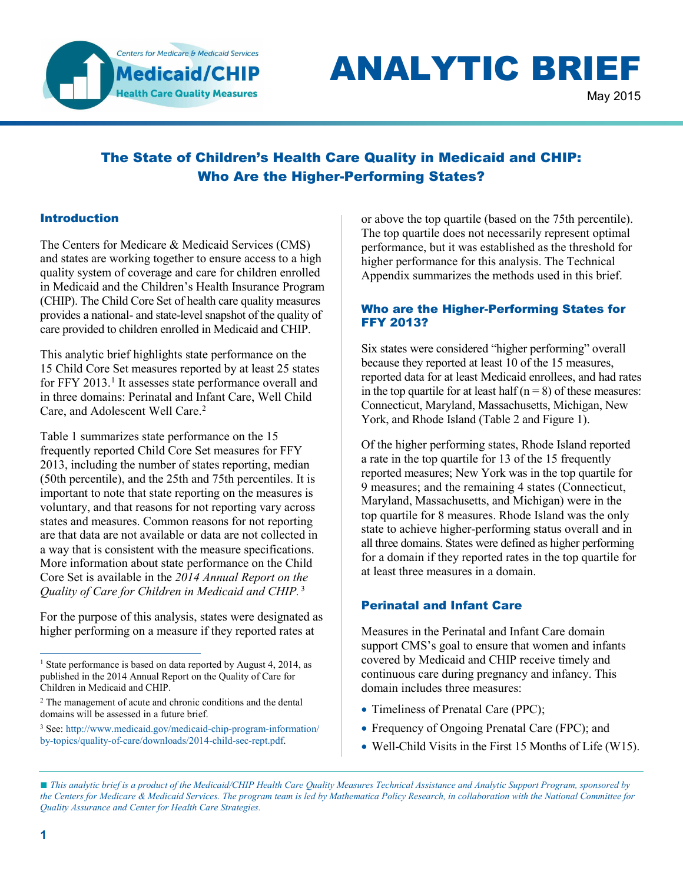

# **ANALYTIC BRIEF**

May 2015

# The State of Children's Health Care Quality in Medicaid and CHIP: Who Are the Higher-Performing States?

#### Introduction

The Centers for Medicare & Medicaid Services (CMS) and states are working together to ensure access to a high quality system of coverage and care for children enrolled in Medicaid and the Children's Health Insurance Program (CHIP). The Child Core Set of health care quality measures provides a national- and state-level snapshot of the quality of care provided to children enrolled in Medicaid and CHIP.

This analytic brief highlights state performance on the 15 Child Core Set measures reported by at least 25 states for FFY 20[1](#page-0-0)3.<sup>1</sup> It assesses state performance overall and in three domains: Perinatal and Infant Care, Well Child Care, and Adolescent Well Care.<sup>[2](#page-0-1)</sup>

Table 1 summarizes state performance on the 15 frequently reported Child Core Set measures for FFY 2013, including the number of states reporting, median (50th percentile), and the 25th and 75th percentiles. It is important to note that state reporting on the measures is voluntary, and that reasons for not reporting vary across states and measures. Common reasons for not reporting are that data are not available or data are not collected in a way that is consistent with the measure specifications. More information about state performance on the Child Core Set is available in the *2014 Annual Report on the Quality of Care for Children in Medicaid and CHIP.* [3](#page-0-2)

For the purpose of this analysis, states were designated as higher performing on a measure if they reported rates at

<span id="page-0-2"></span><sup>3</sup> See: [http://www.medicaid.gov/medicaid-chip-program-information/](http://www.medicaid.gov/medicaid-chip-program-information/by-topics/quality-of-care/downloads/2014-child-sec-rept.pdf) [by-topics/quality-of-care/downloads/2014-child-sec-rept.pdf.](http://www.medicaid.gov/medicaid-chip-program-information/by-topics/quality-of-care/downloads/2014-child-sec-rept.pdf)

or above the top quartile (based on the 75th percentile). The top quartile does not necessarily represent optimal performance, but it was established as the threshold for higher performance for this analysis. The Technical Appendix summarizes the methods used in this brief.

#### Who are the Higher-Performing States for FFY 2013?

Six states were considered "higher performing" overall because they reported at least 10 of the 15 measures, reported data for at least Medicaid enrollees, and had rates in the top quartile for at least half  $(n = 8)$  of these measures: Connecticut, Maryland, Massachusetts, Michigan, New York, and Rhode Island (Table 2 and Figure 1).

Of the higher performing states, Rhode Island reported a rate in the top quartile for 13 of the 15 frequently reported measures; New York was in the top quartile for 9 measures; and the remaining 4 states (Connecticut, Maryland, Massachusetts, and Michigan) were in the top quartile for 8 measures. Rhode Island was the only state to achieve higher-performing status overall and in all three domains. States were defined as higher performing for a domain if they reported rates in the top quartile for at least three measures in a domain.

## Perinatal and Infant Care

Measures in the Perinatal and Infant Care domain support CMS's goal to ensure that women and infants covered by Medicaid and CHIP receive timely and continuous care during pregnancy and infancy. This domain includes three measures:

- Timeliness of Prenatal Care (PPC);
- Frequency of Ongoing Prenatal Care (FPC); and
- Well-Child Visits in the First 15 Months of Life (W15).

■ *This analytic brief is a product of the Medicaid/CHIP Health Care Quality Measures Technical Assistance and Analytic Support Program, sponsored by the Centers for Medicare & Medicaid Services. The program team is led by Mathematica Policy Research, in collaboration with the National Committee for Quality Assurance and Center for Health Care Strategies.* 

<span id="page-0-0"></span><sup>&</sup>lt;sup>1</sup> State performance is based on data reported by August 4, 2014, as published in the 2014 Annual Report on the Quality of Care for Children in Medicaid and CHIP.  $\overline{a}$ 

<span id="page-0-1"></span><sup>&</sup>lt;sup>2</sup> The management of acute and chronic conditions and the dental domains will be assessed in a future brief.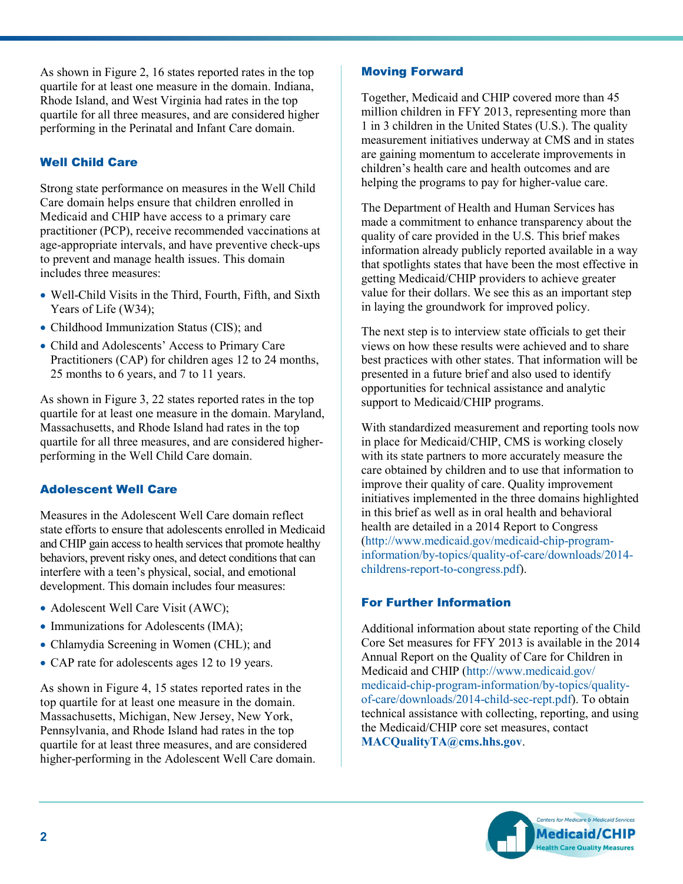As shown in Figure 2, 16 states reported rates in the top quartile for at least one measure in the domain. Indiana, Rhode Island, and West Virginia had rates in the top quartile for all three measures, and are considered higher performing in the Perinatal and Infant Care domain.

## Well Child Care

Strong state performance on measures in the Well Child Care domain helps ensure that children enrolled in Medicaid and CHIP have access to a primary care practitioner (PCP), receive recommended vaccinations at age-appropriate intervals, and have preventive check-ups to prevent and manage health issues. This domain includes three measures:

- Well-Child Visits in the Third, Fourth, Fifth, and Sixth Years of Life (W34);
- Childhood Immunization Status (CIS); and
- Child and Adolescents' Access to Primary Care Practitioners (CAP) for children ages 12 to 24 months, 25 months to 6 years, and 7 to 11 years.

As shown in Figure 3, 22 states reported rates in the top quartile for at least one measure in the domain. Maryland, Massachusetts, and Rhode Island had rates in the top quartile for all three measures, and are considered higherperforming in the Well Child Care domain.

## Adolescent Well Care

Measures in the Adolescent Well Care domain reflect state efforts to ensure that adolescents enrolled in Medicaid and CHIP gain access to health services that promote healthy behaviors, prevent risky ones, and detect conditions that can interfere with a teen's physical, social, and emotional development. This domain includes four measures:

- Adolescent Well Care Visit (AWC);
- Immunizations for Adolescents (IMA);
- Chlamydia Screening in Women (CHL); and
- CAP rate for adolescents ages 12 to 19 years.

As shown in Figure 4, 15 states reported rates in the top quartile for at least one measure in the domain. Massachusetts, Michigan, New Jersey, New York, Pennsylvania, and Rhode Island had rates in the top quartile for at least three measures, and are considered higher-performing in the Adolescent Well Care domain.

## Moving Forward

Together, Medicaid and CHIP covered more than 45 million children in FFY 2013, representing more than 1 in 3 children in the United States (U.S.). The quality measurement initiatives underway at CMS and in states are gaining momentum to accelerate improvements in children's health care and health outcomes and are helping the programs to pay for higher-value care.

The Department of Health and Human Services has made a commitment to enhance transparency about the quality of care provided in the U.S. This brief makes information already publicly reported available in a way that spotlights states that have been the most effective in getting Medicaid/CHIP providers to achieve greater value for their dollars. We see this as an important step in laying the groundwork for improved policy.

The next step is to interview state officials to get their views on how these results were achieved and to share best practices with other states. That information will be presented in a future brief and also used to identify opportunities for technical assistance and analytic support to Medicaid/CHIP programs.

With standardized measurement and reporting tools now in place for Medicaid/CHIP, CMS is working closely with its state partners to more accurately measure the care obtained by children and to use that information to improve their quality of care. Quality improvement initiatives implemented in the three domains highlighted in this brief as well as in oral health and behavioral health are detailed in a 2014 Report to Congress [\(http://www.medicaid.gov/medicaid-chip-program](http://www.medicaid.gov/medicaid-chip-program-information/by-topics/quality-of-care/downloads/2014-childrens-report-to-congress.pdf)[information/by-topics/quality-of-care/downloads/2014](http://www.medicaid.gov/medicaid-chip-program-information/by-topics/quality-of-care/downloads/2014-childrens-report-to-congress.pdf) [childrens-report-to-congress.pdf\)](http://www.medicaid.gov/medicaid-chip-program-information/by-topics/quality-of-care/downloads/2014-childrens-report-to-congress.pdf).

## For Further Information

Additional information about state reporting of the Child Core Set measures for FFY 2013 is available in the 2014 Annual Report on the Quality of Care for Children in Medicaid and CHIP [\(http://www.medicaid.gov/](http://www.medicaid.gov/medicaid-chip-program-information/by-topics/quality-of-care/downloads/2014-child-sec-rept.pdf)  [medicaid-chip-program-information/by-topics/quality](http://www.medicaid.gov/medicaid-chip-program-information/by-topics/quality-of-care/downloads/2014-child-sec-rept.pdf)[of-care/downloads/2014-child-sec-rept.pdf\)](http://www.medicaid.gov/medicaid-chip-program-information/by-topics/quality-of-care/downloads/2014-child-sec-rept.pdf). To obtain technical assistance with collecting, reporting, and using the Medicaid/CHIP core set measures, contact **[MACQualityTA@cms.hhs.gov](mailto:MACQualityTA@cms.hhs.gov)**.

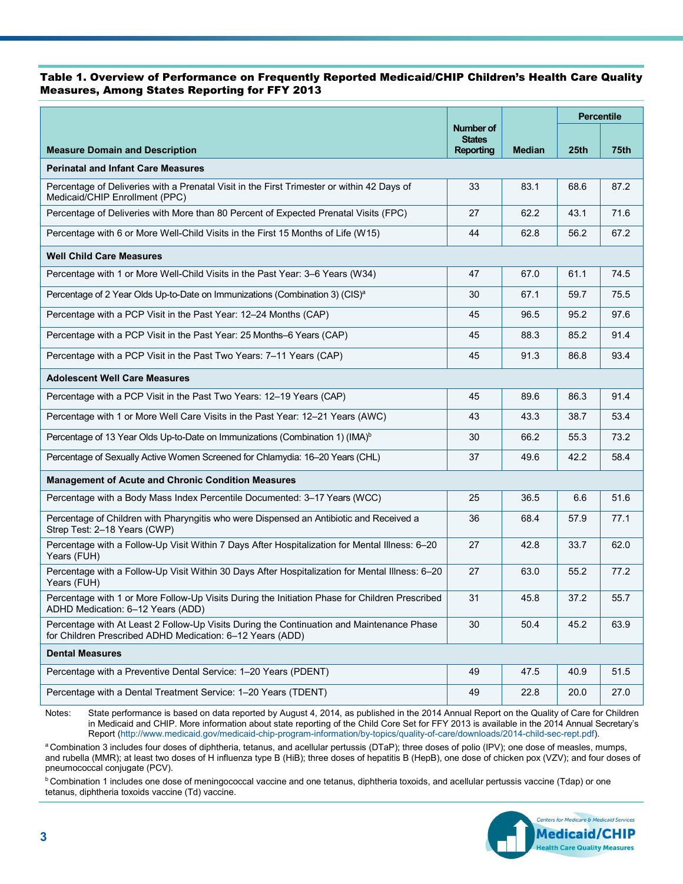#### Table 1. Overview of Performance on Frequently Reported Medicaid/CHIP Children's Health Care Quality Measures, Among States Reporting for FFY 2013

|                                                                                                                                                        |                            |               | <b>Percentile</b> |             |  |
|--------------------------------------------------------------------------------------------------------------------------------------------------------|----------------------------|---------------|-------------------|-------------|--|
|                                                                                                                                                        | Number of<br><b>States</b> |               |                   |             |  |
| <b>Measure Domain and Description</b>                                                                                                                  | <b>Reporting</b>           | <b>Median</b> | 25th              | <b>75th</b> |  |
| <b>Perinatal and Infant Care Measures</b>                                                                                                              |                            |               |                   |             |  |
| Percentage of Deliveries with a Prenatal Visit in the First Trimester or within 42 Days of<br>Medicaid/CHIP Enrollment (PPC)                           | 33                         | 83.1          | 68.6              | 87.2        |  |
| Percentage of Deliveries with More than 80 Percent of Expected Prenatal Visits (FPC)                                                                   | 27                         | 62.2          | 43.1              | 71.6        |  |
| Percentage with 6 or More Well-Child Visits in the First 15 Months of Life (W15)                                                                       | 44                         | 62.8          | 56.2              | 67.2        |  |
| <b>Well Child Care Measures</b>                                                                                                                        |                            |               |                   |             |  |
| Percentage with 1 or More Well-Child Visits in the Past Year: 3-6 Years (W34)                                                                          | 47                         | 67.0          | 61.1              | 74.5        |  |
| Percentage of 2 Year Olds Up-to-Date on Immunizations (Combination 3) (CIS) <sup>a</sup>                                                               | 30                         | 67.1          | 59.7              | 75.5        |  |
| Percentage with a PCP Visit in the Past Year: 12-24 Months (CAP)                                                                                       | 45                         | 96.5          | 95.2              | 97.6        |  |
| Percentage with a PCP Visit in the Past Year: 25 Months–6 Years (CAP)                                                                                  | 45                         | 88.3          | 85.2              | 91.4        |  |
| Percentage with a PCP Visit in the Past Two Years: 7-11 Years (CAP)                                                                                    | 45                         | 91.3          | 86.8              | 93.4        |  |
| <b>Adolescent Well Care Measures</b>                                                                                                                   |                            |               |                   |             |  |
| Percentage with a PCP Visit in the Past Two Years: 12-19 Years (CAP)                                                                                   | 45                         | 89.6          | 86.3              | 91.4        |  |
| Percentage with 1 or More Well Care Visits in the Past Year: 12-21 Years (AWC)                                                                         | 43                         | 43.3          | 38.7              | 53.4        |  |
| Percentage of 13 Year Olds Up-to-Date on Immunizations (Combination 1) (IMA) <sup>b</sup>                                                              | 30                         | 66.2          | 55.3              | 73.2        |  |
| Percentage of Sexually Active Women Screened for Chlamydia: 16-20 Years (CHL)                                                                          | 37                         | 49.6          | 42.2              | 58.4        |  |
| <b>Management of Acute and Chronic Condition Measures</b>                                                                                              |                            |               |                   |             |  |
| Percentage with a Body Mass Index Percentile Documented: 3-17 Years (WCC)                                                                              | 25                         | 36.5          | 6.6               | 51.6        |  |
| Percentage of Children with Pharyngitis who were Dispensed an Antibiotic and Received a<br>Strep Test: 2-18 Years (CWP)                                | 36                         | 68.4          | 57.9              | 77.1        |  |
| Percentage with a Follow-Up Visit Within 7 Days After Hospitalization for Mental Illness: 6-20<br>Years (FUH)                                          | 27                         | 42.8          | 33.7              | 62.0        |  |
| Percentage with a Follow-Up Visit Within 30 Days After Hospitalization for Mental Illness: 6-20<br>Years (FUH)                                         | 27                         | 63.0          | 55.2              | 77.2        |  |
| Percentage with 1 or More Follow-Up Visits During the Initiation Phase for Children Prescribed<br>ADHD Medication: 6-12 Years (ADD)                    | 31                         | 45.8          | 37.2              | 55.7        |  |
| Percentage with At Least 2 Follow-Up Visits During the Continuation and Maintenance Phase<br>for Children Prescribed ADHD Medication: 6-12 Years (ADD) | 30                         | 50.4          | 45.2              | 63.9        |  |
| <b>Dental Measures</b>                                                                                                                                 |                            |               |                   |             |  |
| Percentage with a Preventive Dental Service: 1-20 Years (PDENT)                                                                                        | 49                         | 47.5          | 40.9              | 51.5        |  |
| Percentage with a Dental Treatment Service: 1-20 Years (TDENT)                                                                                         | 49                         | 22.8          | 20.0              | 27.0        |  |

Notes: State performance is based on data reported by August 4, 2014, as published in the 2014 Annual Report on the Quality of Care for Children in Medicaid and CHIP. More information about state reporting of the Child Core Set for FFY 2013 is available in the 2014 Annual Secretary's Report [\(http://www.medicaid.gov/medicaid-chip-program-information/by-topics/quality-of-care/downloads/2014-child-sec-rept.pdf\)](http://www.medicaid.gov/medicaid-chip-program-information/by-topics/quality-of-care/downloads/2014-child-sec-rept.pdf).

a Combination 3 includes four doses of diphtheria, tetanus, and acellular pertussis (DTaP); three doses of polio (IPV); one dose of measles, mumps, and rubella (MMR); at least two doses of H influenza type B (HiB); three doses of hepatitis B (HepB), one dose of chicken pox (VZV); and four doses of pneumococcal conjugate (PCV).

**b** Combination 1 includes one dose of meningococcal vaccine and one tetanus, diphtheria toxoids, and acellular pertussis vaccine (Tdap) or one tetanus, diphtheria toxoids vaccine (Td) vaccine.

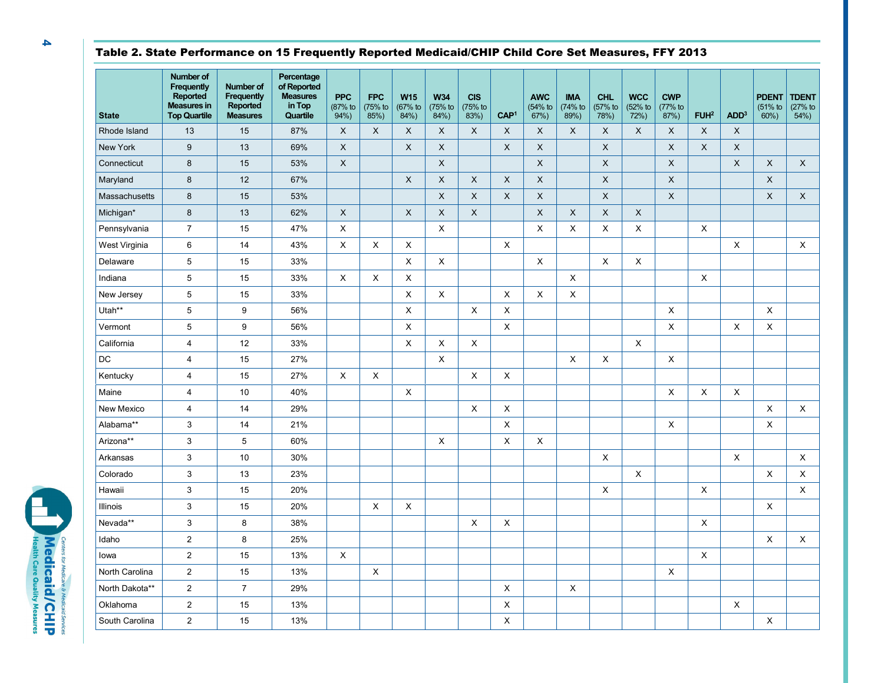## Table 2. State Performance on 15 Frequently Reported Medicaid/CHIP Child Core Set Measures, FFY 2013

| <b>State</b>    | Number of<br>Frequently<br>Reported<br><b>Measures in</b><br><b>Top Quartile</b> | Number of<br>Frequently<br>Reported<br><b>Measures</b> | Percentage<br>of Reported<br><b>Measures</b><br>in Top<br>Quartile | <b>PPC</b><br>(87% to<br>94% | <b>FPC</b><br>(75% to<br>85%) | <b>W15</b><br>(67% to<br>84%) | <b>W34</b><br>(75% to<br>84%) | <b>CIS</b><br>(75% to<br>83%) | CAP <sup>1</sup> | <b>AWC</b><br>(54% to<br>67%) | <b>IMA</b><br>(74% to<br>89%) | <b>CHL</b><br>(57% to<br>78%) | <b>WCC</b><br>(52% to<br>72%) | <b>CWP</b><br>(77% to<br>87%) | FUH <sup>2</sup> | ADD <sup>3</sup> | <b>PDENT</b><br>$(51%$ to<br>60% | <b>TDENT</b><br>(27% to<br>$54%$ ) |
|-----------------|----------------------------------------------------------------------------------|--------------------------------------------------------|--------------------------------------------------------------------|------------------------------|-------------------------------|-------------------------------|-------------------------------|-------------------------------|------------------|-------------------------------|-------------------------------|-------------------------------|-------------------------------|-------------------------------|------------------|------------------|----------------------------------|------------------------------------|
| Rhode Island    | 13                                                                               | 15                                                     | 87%                                                                | X                            | X                             | $\boldsymbol{\mathsf{X}}$     | $\mathsf{X}$                  | X                             | X                | $\mathsf{X}$                  | X                             | X                             | X                             | X                             | $\mathsf X$      | $\mathsf{X}$     |                                  |                                    |
| <b>New York</b> | 9                                                                                | 13                                                     | 69%                                                                | $\times$                     |                               | $\mathsf{X}$                  | $\mathsf{X}$                  |                               | $\mathsf{X}$     | $\times$                      |                               | $\sf X$                       |                               | $\mathsf{X}$                  | $\times$         | $\mathsf{X}$     |                                  |                                    |
| Connecticut     | 8                                                                                | 15                                                     | 53%                                                                | X                            |                               |                               | $\boldsymbol{\mathsf{X}}$     |                               |                  | $\times$                      |                               | X                             |                               | X                             |                  | $\mathsf X$      | X                                | $\mathsf{X}$                       |
| Maryland        | 8                                                                                | 12                                                     | 67%                                                                |                              |                               | $\mathsf{X}$                  | $\boldsymbol{\mathsf{X}}$     | X                             | X                | X                             |                               | $\times$                      |                               | $\mathsf{X}$                  |                  |                  | $\mathsf{X}$                     |                                    |
| Massachusetts   | 8                                                                                | 15                                                     | 53%                                                                |                              |                               |                               | $\boldsymbol{\mathsf{X}}$     | X                             | X                | $\times$                      |                               | X                             |                               | $\mathsf{X}$                  |                  |                  | X                                | $\mathsf{X}$                       |
| Michigan*       | 8                                                                                | 13                                                     | 62%                                                                | X                            |                               | $\mathsf{X}$                  | $\boldsymbol{\mathsf{X}}$     | $\mathsf{X}$                  |                  | X                             | X                             | X                             | X                             |                               |                  |                  |                                  |                                    |
| Pennsylvania    | $\overline{7}$                                                                   | 15                                                     | 47%                                                                | X                            |                               |                               | X                             |                               |                  | X                             | X                             | X                             | X                             |                               | X                |                  |                                  |                                    |
| West Virginia   | 6                                                                                | 14                                                     | 43%                                                                | X                            | X                             | X                             |                               |                               | X                |                               |                               |                               |                               |                               |                  | X                |                                  | $\times$                           |
| Delaware        | 5                                                                                | 15                                                     | 33%                                                                |                              |                               | Χ                             | X                             |                               |                  | X                             |                               | X                             | X                             |                               |                  |                  |                                  |                                    |
| Indiana         | 5                                                                                | 15                                                     | 33%                                                                | X                            | X                             | X                             |                               |                               |                  |                               | X                             |                               |                               |                               | X                |                  |                                  |                                    |
| New Jersey      | 5                                                                                | 15                                                     | 33%                                                                |                              |                               | X                             | X                             |                               | X                | $\times$                      | X                             |                               |                               |                               |                  |                  |                                  |                                    |
| Utah**          | 5                                                                                | 9                                                      | 56%                                                                |                              |                               | X                             |                               | X                             | X                |                               |                               |                               |                               | X                             |                  |                  | X                                |                                    |
| Vermont         | 5                                                                                | 9                                                      | 56%                                                                |                              |                               | $\pmb{\times}$                |                               |                               | X                |                               |                               |                               |                               | X                             |                  | $\pmb{\times}$   | X                                |                                    |
| California      | 4                                                                                | 12                                                     | 33%                                                                |                              |                               | X                             | X                             | X                             |                  |                               |                               |                               | X                             |                               |                  |                  |                                  |                                    |
| DC              | 4                                                                                | 15                                                     | 27%                                                                |                              |                               |                               | X                             |                               |                  |                               | X                             | X                             |                               | X                             |                  |                  |                                  |                                    |
| Kentucky        | $\overline{4}$                                                                   | 15                                                     | 27%                                                                | X                            | X                             |                               |                               | X                             | X                |                               |                               |                               |                               |                               |                  |                  |                                  |                                    |
| Maine           | 4                                                                                | 10                                                     | 40%                                                                |                              |                               | X                             |                               |                               |                  |                               |                               |                               |                               | X                             | X                | X                |                                  |                                    |
| New Mexico      | 4                                                                                | 14                                                     | 29%                                                                |                              |                               |                               |                               | X                             | X                |                               |                               |                               |                               |                               |                  |                  | X                                | $\times$                           |
| Alabama**       | 3                                                                                | 14                                                     | 21%                                                                |                              |                               |                               |                               |                               | X                |                               |                               |                               |                               | X                             |                  |                  | X                                |                                    |
| Arizona**       | 3                                                                                | 5                                                      | 60%                                                                |                              |                               |                               | X                             |                               | X                | $\times$                      |                               |                               |                               |                               |                  |                  |                                  |                                    |
| Arkansas        | 3                                                                                | 10                                                     | 30%                                                                |                              |                               |                               |                               |                               |                  |                               |                               | X                             |                               |                               |                  | X                |                                  | X                                  |
| Colorado        | 3                                                                                | 13                                                     | 23%                                                                |                              |                               |                               |                               |                               |                  |                               |                               |                               | X                             |                               |                  |                  | X                                | X                                  |
| Hawaii          | 3                                                                                | 15                                                     | 20%                                                                |                              |                               |                               |                               |                               |                  |                               |                               | X                             |                               |                               | X                |                  |                                  | X                                  |
| Illinois        | 3                                                                                | 15                                                     | 20%                                                                |                              | X                             | X                             |                               |                               |                  |                               |                               |                               |                               |                               |                  |                  | X                                |                                    |
| Nevada**        | 3                                                                                | 8                                                      | 38%                                                                |                              |                               |                               |                               | X                             | X                |                               |                               |                               |                               |                               | X                |                  |                                  |                                    |
| Idaho           | $\overline{2}$                                                                   | 8                                                      | 25%                                                                |                              |                               |                               |                               |                               |                  |                               |                               |                               |                               |                               |                  |                  | X                                | X                                  |
| lowa            | $\sqrt{2}$                                                                       | 15                                                     | 13%                                                                | X                            |                               |                               |                               |                               |                  |                               |                               |                               |                               |                               | X                |                  |                                  |                                    |
| North Carolina  | 2                                                                                | 15                                                     | 13%                                                                |                              | X                             |                               |                               |                               |                  |                               |                               |                               |                               | X                             |                  |                  |                                  |                                    |
| North Dakota**  | 2                                                                                | $\overline{\mathcal{I}}$                               | 29%                                                                |                              |                               |                               |                               |                               | X                |                               | Χ                             |                               |                               |                               |                  |                  |                                  |                                    |
| Oklahoma        | 2                                                                                | 15                                                     | 13%                                                                |                              |                               |                               |                               |                               | X                |                               |                               |                               |                               |                               |                  | X                |                                  |                                    |
| South Carolina  | $\overline{2}$                                                                   | 15                                                     | 13%                                                                |                              |                               |                               |                               |                               | X                |                               |                               |                               |                               |                               |                  |                  | X                                |                                    |

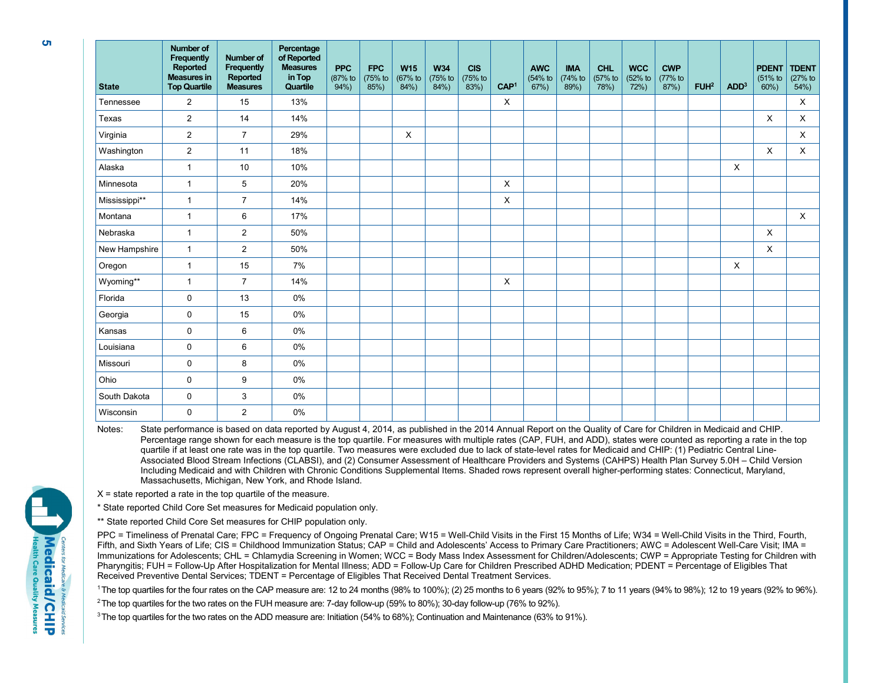| <b>State</b>  | <b>Number of</b><br>Frequently<br>Reported<br><b>Measures in</b><br><b>Top Quartile</b> | Number of<br>Frequently<br>Reported<br><b>Measures</b> | Percentage<br>of Reported<br><b>Measures</b><br>in Top<br>Quartile | <b>PPC</b><br>(87% to<br>94% | <b>FPC</b><br>(75% to<br>85%) | <b>W15</b><br>(67% to<br>$84%$ ) | <b>W34</b><br>(75% to<br>84% | <b>CIS</b><br>(75% to<br>$83\%)$ | CAP <sup>1</sup> | <b>AWC</b><br>(54% to<br>$67%$ ) | <b>IMA</b><br>(74% to<br>89%) | <b>CHL</b><br>(57% to<br>78%) | <b>WCC</b><br>$(52%$ to<br>72% | <b>CWP</b><br>(77% to<br>$87%$ ) | FUH <sup>2</sup> | ADD <sup>3</sup> | <b>PDENT</b><br>(51% to<br>60% | <b>TDENT</b><br>$(27%$ to<br>$54%$ ) |
|---------------|-----------------------------------------------------------------------------------------|--------------------------------------------------------|--------------------------------------------------------------------|------------------------------|-------------------------------|----------------------------------|------------------------------|----------------------------------|------------------|----------------------------------|-------------------------------|-------------------------------|--------------------------------|----------------------------------|------------------|------------------|--------------------------------|--------------------------------------|
| Tennessee     | $\overline{2}$                                                                          | 15                                                     | 13%                                                                |                              |                               |                                  |                              |                                  | X                |                                  |                               |                               |                                |                                  |                  |                  |                                | X                                    |
| Texas         | $\overline{2}$                                                                          | 14                                                     | 14%                                                                |                              |                               |                                  |                              |                                  |                  |                                  |                               |                               |                                |                                  |                  |                  | X                              | X                                    |
| Virginia      | 2                                                                                       | $\overline{7}$                                         | 29%                                                                |                              |                               | X                                |                              |                                  |                  |                                  |                               |                               |                                |                                  |                  |                  |                                | X                                    |
| Washington    | $\overline{2}$                                                                          | 11                                                     | 18%                                                                |                              |                               |                                  |                              |                                  |                  |                                  |                               |                               |                                |                                  |                  |                  | X                              | X                                    |
| Alaska        | $\mathbf{1}$                                                                            | 10                                                     | 10%                                                                |                              |                               |                                  |                              |                                  |                  |                                  |                               |                               |                                |                                  |                  | X                |                                |                                      |
| Minnesota     | $\mathbf{1}$                                                                            | 5                                                      | 20%                                                                |                              |                               |                                  |                              |                                  | X                |                                  |                               |                               |                                |                                  |                  |                  |                                |                                      |
| Mississippi** | $\mathbf{1}$                                                                            | $\overline{7}$                                         | 14%                                                                |                              |                               |                                  |                              |                                  | X                |                                  |                               |                               |                                |                                  |                  |                  |                                |                                      |
| Montana       | $\mathbf{1}$                                                                            | 6                                                      | 17%                                                                |                              |                               |                                  |                              |                                  |                  |                                  |                               |                               |                                |                                  |                  |                  |                                | X                                    |
| Nebraska      | $\mathbf{1}$                                                                            | 2                                                      | 50%                                                                |                              |                               |                                  |                              |                                  |                  |                                  |                               |                               |                                |                                  |                  |                  | X                              |                                      |
| New Hampshire | $\mathbf{1}$                                                                            | $\overline{2}$                                         | 50%                                                                |                              |                               |                                  |                              |                                  |                  |                                  |                               |                               |                                |                                  |                  |                  | $\mathsf{X}$                   |                                      |
| Oregon        | $\mathbf{1}$                                                                            | 15                                                     | 7%                                                                 |                              |                               |                                  |                              |                                  |                  |                                  |                               |                               |                                |                                  |                  | X                |                                |                                      |
| Wyoming**     | $\mathbf{1}$                                                                            | $\overline{7}$                                         | 14%                                                                |                              |                               |                                  |                              |                                  | X                |                                  |                               |                               |                                |                                  |                  |                  |                                |                                      |
| Florida       | $\mathbf 0$                                                                             | 13                                                     | 0%                                                                 |                              |                               |                                  |                              |                                  |                  |                                  |                               |                               |                                |                                  |                  |                  |                                |                                      |
| Georgia       | $\mathbf 0$                                                                             | 15                                                     | 0%                                                                 |                              |                               |                                  |                              |                                  |                  |                                  |                               |                               |                                |                                  |                  |                  |                                |                                      |
| Kansas        | $\mathbf 0$                                                                             | 6                                                      | 0%                                                                 |                              |                               |                                  |                              |                                  |                  |                                  |                               |                               |                                |                                  |                  |                  |                                |                                      |
| Louisiana     | $\mathbf 0$                                                                             | 6                                                      | 0%                                                                 |                              |                               |                                  |                              |                                  |                  |                                  |                               |                               |                                |                                  |                  |                  |                                |                                      |
| Missouri      | $\mathbf 0$                                                                             | 8                                                      | 0%                                                                 |                              |                               |                                  |                              |                                  |                  |                                  |                               |                               |                                |                                  |                  |                  |                                |                                      |
| Ohio          | $\mathbf 0$                                                                             | 9                                                      | 0%                                                                 |                              |                               |                                  |                              |                                  |                  |                                  |                               |                               |                                |                                  |                  |                  |                                |                                      |
| South Dakota  | $\mathbf 0$                                                                             | 3                                                      | 0%                                                                 |                              |                               |                                  |                              |                                  |                  |                                  |                               |                               |                                |                                  |                  |                  |                                |                                      |
| Wisconsin     | 0                                                                                       | $\overline{2}$                                         | 0%                                                                 |                              |                               |                                  |                              |                                  |                  |                                  |                               |                               |                                |                                  |                  |                  |                                |                                      |

Notes: State performance is based on data reported by August 4, 2014, as published in the 2014 Annual Report on the Quality of Care for Children in Medicaid and CHIP. Percentage range shown for each measure is the top quartile. For measures with multiple rates (CAP, FUH, and ADD), states were counted as reporting a rate in the top quartile if at least one rate was in the top quartile. Two measures were excluded due to lack of state-level rates for Medicaid and CHIP: (1) Pediatric Central Line-Associated Blood Stream Infections (CLABSI), and (2) Consumer Assessment of Healthcare Providers and Systems (CAHPS) Health Plan Survey 5.0H – Child Version Including Medicaid and with Children with Chronic Conditions Supplemental Items. Shaded rows represent overall higher-performing states: Connecticut, Maryland, Massachusetts, Michigan, New York, and Rhode Island.

 $X =$  state reported a rate in the top quartile of the measure.

\* State reported Child Core Set measures for Medicaid population only.

\*\* State reported Child Core Set measures for CHIP population only.

PPC = Timeliness of Prenatal Care; FPC = Frequency of Ongoing Prenatal Care; W15 = Well-Child Visits in the First 15 Months of Life; W34 = Well-Child Visits in the Third, Fourth, Fifth, and Sixth Years of Life; CIS = Childhood Immunization Status; CAP = Child and Adolescents' Access to Primary Care Practitioners; AWC = Adolescent Well-Care Visit; IMA = Immunizations for Adolescents; CHL = Chlamydia Screening in Women; WCC = Body Mass Index Assessment for Children/Adolescents; CWP = Appropriate Testing for Children with Pharyngitis; FUH = Follow-Up After Hospitalization for Mental Illness; ADD = Follow-Up Care for Children Prescribed ADHD Medication; PDENT = Percentage of Eligibles That Received Preventive Dental Services; TDENT = Percentage of Eligibles That Received Dental Treatment Services.

1 The top quartiles for the four rates on the CAP measure are: 12 to 24 months (98% to 100%); (2) 25 months to 6 years (92% to 95%); 7 to 11 years (94% to 98%); 12 to 19 years (92% to 96%).

2 The top quartiles for the two rates on the FUH measure are: 7-day follow-up (59% to 80%); 30-day follow-up (76% to 92%).

3 The top quartiles for the two rates on the ADD measure are: Initiation (54% to 68%); Continuation and Maintenance (63% to 91%).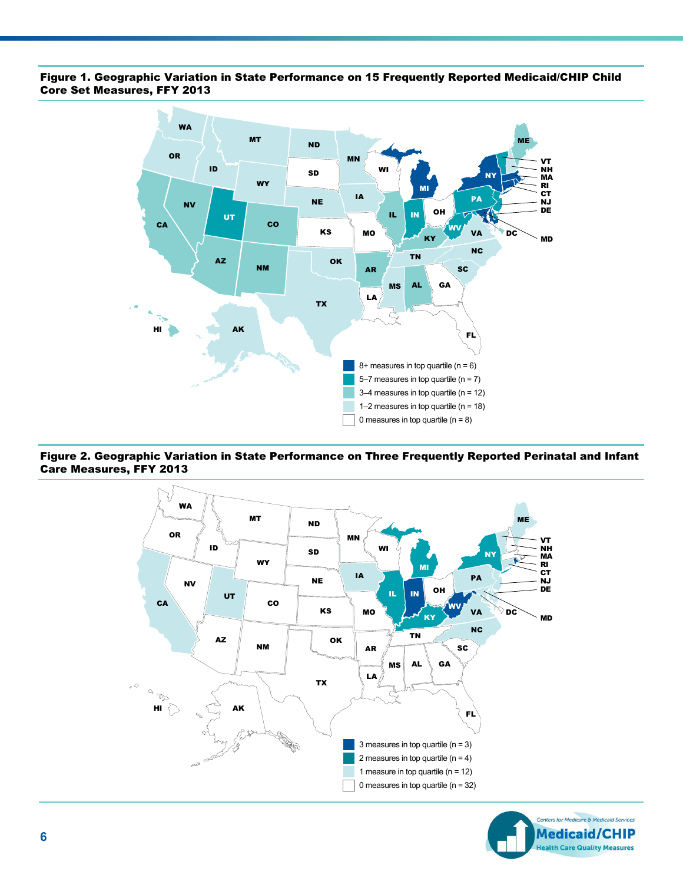#### Figure 1. Geographic Variation in State Performance on 15 Frequently Reported Medicaid/CHIP Child Core Set Measures, FFY 2013



#### Figure 2. Geographic Variation in State Performance on Three Frequently Reported Perinatal and Infant Care Measures, FFY 2013



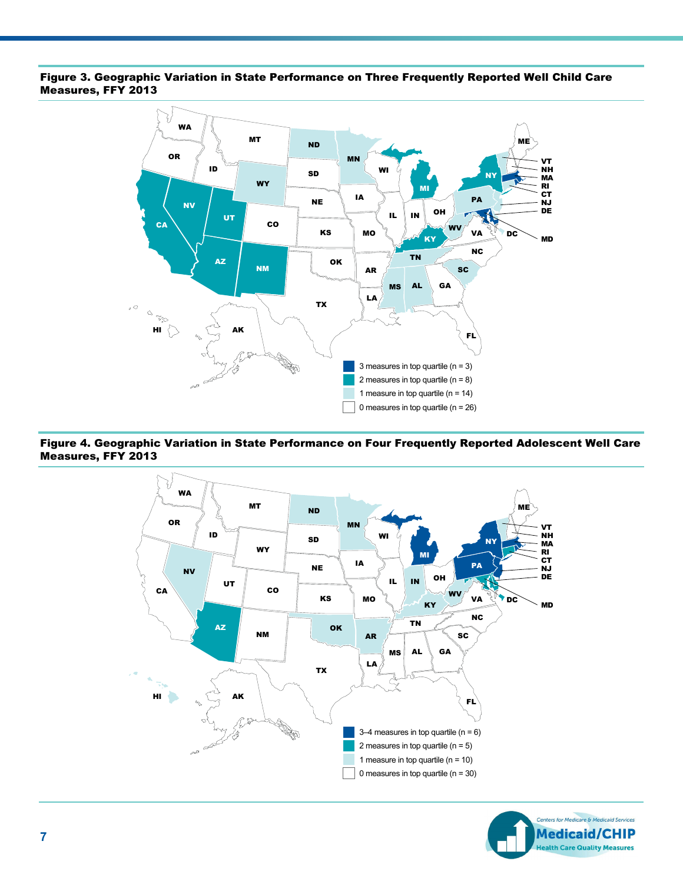#### Figure 3. Geographic Variation in State Performance on Three Frequently Reported Well Child Care Measures, FFY 2013



#### Figure 4. Geographic Variation in State Performance on Four Frequently Reported Adolescent Well Care Measures, FFY 2013